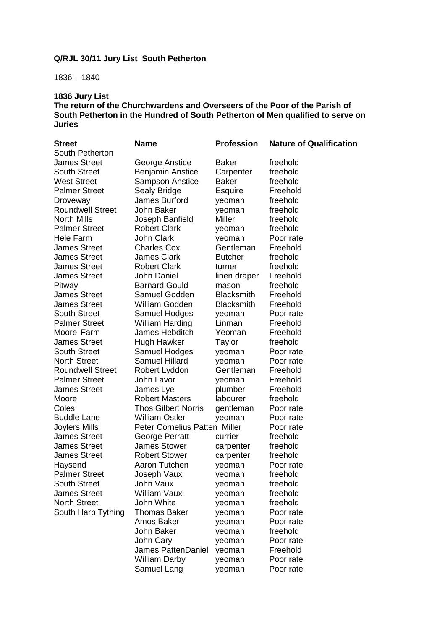# **Q/RJL 30/11 Jury List South Petherton**

1836 – 1840

| <b>Street</b>           | <b>Name</b>                   | <b>Profession</b> | <b>Nature of Qualification</b> |
|-------------------------|-------------------------------|-------------------|--------------------------------|
| South Petherton         |                               |                   |                                |
| <b>James Street</b>     | George Anstice                | <b>Baker</b>      | freehold                       |
| <b>South Street</b>     | <b>Benjamin Anstice</b>       | Carpenter         | freehold                       |
| <b>West Street</b>      | Sampson Anstice               | <b>Baker</b>      | freehold                       |
| <b>Palmer Street</b>    | Sealy Bridge                  | Esquire           | Freehold                       |
| Droveway                | James Burford                 | yeoman            | freehold                       |
| <b>Roundwell Street</b> | John Baker                    | yeoman            | freehold                       |
| <b>North Mills</b>      | Joseph Banfield               | <b>Miller</b>     | freehold                       |
| <b>Palmer Street</b>    | <b>Robert Clark</b>           | yeoman            | freehold                       |
| Hele Farm               | <b>John Clark</b>             | yeoman            | Poor rate                      |
| <b>James Street</b>     | <b>Charles Cox</b>            | Gentleman         | Freehold                       |
| <b>James Street</b>     | <b>James Clark</b>            | <b>Butcher</b>    | freehold                       |
| <b>James Street</b>     | <b>Robert Clark</b>           | turner            | freehold                       |
| <b>James Street</b>     | John Daniel                   | linen draper      | Freehold                       |
| Pitway                  | <b>Barnard Gould</b>          | mason             | freehold                       |
| <b>James Street</b>     | Samuel Godden                 | <b>Blacksmith</b> | Freehold                       |
| <b>James Street</b>     | William Godden                | <b>Blacksmith</b> | Freehold                       |
| <b>South Street</b>     | Samuel Hodges                 | yeoman            | Poor rate                      |
| <b>Palmer Street</b>    | <b>William Harding</b>        | Linman            | Freehold                       |
| Moore Farm              | James Hebditch                | Yeoman            | Freehold                       |
| <b>James Street</b>     | Hugh Hawker                   | Taylor            | freehold                       |
| <b>South Street</b>     | Samuel Hodges                 | yeoman            | Poor rate                      |
| <b>North Street</b>     | <b>Samuel Hillard</b>         | yeoman            | Poor rate                      |
| <b>Roundwell Street</b> | Robert Lyddon                 | Gentleman         | Freehold                       |
| <b>Palmer Street</b>    | John Lavor                    | yeoman            | Freehold                       |
| <b>James Street</b>     | James Lye                     | plumber           | Freehold                       |
| Moore                   | <b>Robert Masters</b>         | labourer          | freehold                       |
| Coles                   | <b>Thos Gilbert Norris</b>    | gentleman         | Poor rate                      |
| <b>Buddle Lane</b>      | <b>William Ostler</b>         | yeoman            | Poor rate                      |
| Joylers Mills           | Peter Cornelius Patten Miller |                   | Poor rate                      |
| <b>James Street</b>     | <b>George Perratt</b>         | currier           | freehold                       |
| <b>James Street</b>     | <b>James Stower</b>           | carpenter         | freehold                       |
| <b>James Street</b>     | <b>Robert Stower</b>          | carpenter         | freehold                       |
| Haysend                 | Aaron Tutchen                 | yeoman            | Poor rate                      |
| <b>Palmer Street</b>    | Joseph Vaux                   | yeoman            | freehold                       |
| <b>South Street</b>     | John Vaux                     | yeoman            | freehold                       |
| <b>James Street</b>     | <b>William Vaux</b>           | yeoman            | freehold                       |
| <b>North Street</b>     | John White                    | yeoman            | freehold                       |
| South Harp Tything      | <b>Thomas Baker</b>           | yeoman            | Poor rate                      |
|                         | Amos Baker                    | yeoman            | Poor rate                      |
|                         | John Baker                    | yeoman            | freehold                       |
|                         | John Cary                     | yeoman            | Poor rate                      |
|                         | <b>James PattenDaniel</b>     | yeoman            | Freehold                       |
|                         | <b>William Darby</b>          | yeoman            | Poor rate                      |
|                         | Samuel Lang                   | yeoman            | Poor rate                      |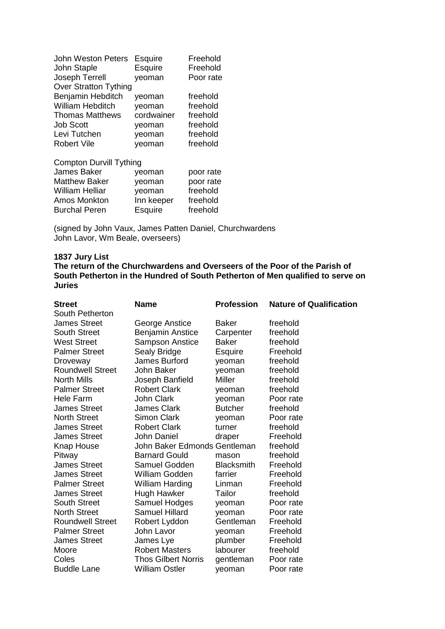| John Weston Peters Esquire   |            | Freehold  |
|------------------------------|------------|-----------|
| John Staple                  | Esquire    | Freehold  |
| Joseph Terrell               | yeoman     | Poor rate |
| <b>Over Stratton Tything</b> |            |           |
| Benjamin Hebditch            | yeoman     | freehold  |
| William Hebditch             | veoman     | freehold  |
| <b>Thomas Matthews</b>       | cordwainer | freehold  |
| <b>Job Scott</b>             | yeoman     | freehold  |
| Levi Tutchen                 | yeoman     | freehold  |
| <b>Robert Vile</b>           | yeoman     | freehold  |

Compton Durvill Tything

| James Baker            | yeoman         | poor rate |
|------------------------|----------------|-----------|
| <b>Matthew Baker</b>   | yeoman         | poor rate |
| <b>William Helliar</b> | yeoman         | freehold  |
| Amos Monkton           | Inn keeper     | freehold  |
| <b>Burchal Peren</b>   | <b>Esquire</b> | freehold  |

(signed by John Vaux, James Patten Daniel, Churchwardens John Lavor, Wm Beale, overseers)

#### **1837 Jury List**

| <b>Street</b>           | <b>Name</b>                  | <b>Profession</b> | <b>Nature of Qualification</b> |
|-------------------------|------------------------------|-------------------|--------------------------------|
| South Petherton         |                              |                   |                                |
| <b>James Street</b>     | George Anstice               | Baker             | freehold                       |
| <b>South Street</b>     | <b>Benjamin Anstice</b>      | Carpenter         | freehold                       |
| <b>West Street</b>      | <b>Sampson Anstice</b>       | <b>Baker</b>      | freehold                       |
| <b>Palmer Street</b>    | Sealy Bridge                 | Esquire           | Freehold                       |
| Droveway                | James Burford                | yeoman            | freehold                       |
| <b>Roundwell Street</b> | John Baker                   | yeoman            | freehold                       |
| <b>North Mills</b>      | Joseph Banfield              | <b>Miller</b>     | freehold                       |
| <b>Palmer Street</b>    | <b>Robert Clark</b>          | yeoman            | freehold                       |
| Hele Farm               | John Clark                   | yeoman            | Poor rate                      |
| <b>James Street</b>     | <b>James Clark</b>           | <b>Butcher</b>    | freehold                       |
| <b>North Street</b>     | <b>Simon Clark</b>           | yeoman            | Poor rate                      |
| <b>James Street</b>     | <b>Robert Clark</b>          | turner            | freehold                       |
| <b>James Street</b>     | John Daniel                  | draper            | Freehold                       |
| Knap House              | John Baker Edmonds Gentleman |                   | freehold                       |
| Pitway                  | <b>Barnard Gould</b>         | mason             | freehold                       |
| <b>James Street</b>     | Samuel Godden                | <b>Blacksmith</b> | Freehold                       |
| <b>James Street</b>     | William Godden               | farrier           | Freehold                       |
| <b>Palmer Street</b>    | <b>William Harding</b>       | Linman            | Freehold                       |
| <b>James Street</b>     | Hugh Hawker                  | Tailor            | freehold                       |
| <b>South Street</b>     | Samuel Hodges                | yeoman            | Poor rate                      |
| <b>North Street</b>     | <b>Samuel Hillard</b>        | yeoman            | Poor rate                      |
| <b>Roundwell Street</b> | Robert Lyddon                | Gentleman         | Freehold                       |
| <b>Palmer Street</b>    | John Lavor                   | yeoman            | Freehold                       |
| <b>James Street</b>     | James Lye                    | plumber           | Freehold                       |
| Moore                   | <b>Robert Masters</b>        | labourer          | freehold                       |
| Coles                   | <b>Thos Gilbert Norris</b>   | gentleman         | Poor rate                      |
| <b>Buddle Lane</b>      | <b>William Ostler</b>        | veoman            | Poor rate                      |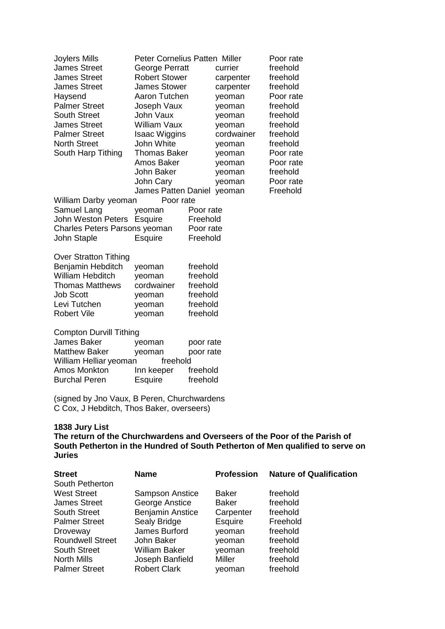| Joylers Mills                 | <b>Peter Cornelius Patten Miller</b> |           |            | Poor rate |
|-------------------------------|--------------------------------------|-----------|------------|-----------|
| <b>James Street</b>           | <b>George Perratt</b>                |           | currier    | freehold  |
| <b>James Street</b>           | <b>Robert Stower</b>                 |           | carpenter  | freehold  |
| <b>James Street</b>           | <b>James Stower</b>                  |           | carpenter  | freehold  |
| Haysend                       | Aaron Tutchen                        |           | yeoman     | Poor rate |
| <b>Palmer Street</b>          | Joseph Vaux                          |           | yeoman     | freehold  |
| <b>South Street</b>           | John Vaux                            |           | yeoman     | freehold  |
| <b>James Street</b>           | William Vaux                         |           | yeoman     | freehold  |
| <b>Palmer Street</b>          | <b>Isaac Wiggins</b>                 |           | cordwainer | freehold  |
| <b>North Street</b>           | John White                           |           | yeoman     | freehold  |
| South Harp Tithing            | Thomas Baker                         |           | yeoman     | Poor rate |
|                               | Amos Baker                           |           | yeoman     | Poor rate |
|                               | John Baker                           |           | yeoman     | freehold  |
|                               | John Cary                            |           | yeoman     | Poor rate |
|                               | James Patten Daniel                  |           | yeoman     | Freehold  |
| William Darby yeoman          | Poor rate                            |           |            |           |
| Samuel Lang                   | yeoman                               | Poor rate |            |           |
| John Weston Peters            | Esquire                              | Freehold  |            |           |
| Charles Peters Parsons yeoman |                                      | Poor rate |            |           |
| John Staple                   | Esquire                              | Freehold  |            |           |
|                               |                                      |           |            |           |

Over Stratton Tithing

| Benjamin Hebditch      | yeoman     | freehold |
|------------------------|------------|----------|
| William Hebditch       | yeoman     | freehold |
| <b>Thomas Matthews</b> | cordwainer | freehold |
| <b>Job Scott</b>       | yeoman     | freehold |
| Levi Tutchen           | yeoman     | freehold |
| Robert Vile            | yeoman     | freehold |

Compton Durvill Tithing

| James Baker            | yeoman         | poor rate |
|------------------------|----------------|-----------|
| <b>Matthew Baker</b>   | yeoman         | poor rate |
| William Helliar yeoman | freehold       |           |
| Amos Monkton           | Inn keeper     | freehold  |
| <b>Burchal Peren</b>   | <b>Esquire</b> | freehold  |

(signed by Jno Vaux, B Peren, Churchwardens C Cox, J Hebditch, Thos Baker, overseers)

# **1838 Jury List**

| <b>Street</b>           | <b>Name</b>             | <b>Profession</b> | <b>Nature of Qualification</b> |
|-------------------------|-------------------------|-------------------|--------------------------------|
| South Petherton         |                         |                   |                                |
| <b>West Street</b>      | <b>Sampson Anstice</b>  | Baker             | freehold                       |
| <b>James Street</b>     | George Anstice          | <b>Baker</b>      | freehold                       |
| <b>South Street</b>     | <b>Benjamin Anstice</b> | Carpenter         | freehold                       |
| <b>Palmer Street</b>    | Sealy Bridge            | Esquire           | Freehold                       |
| Droveway                | James Burford           | yeoman            | freehold                       |
| <b>Roundwell Street</b> | John Baker              | yeoman            | freehold                       |
| <b>South Street</b>     | William Baker           | yeoman            | freehold                       |
| <b>North Mills</b>      | Joseph Banfield         | Miller            | freehold                       |
| <b>Palmer Street</b>    | <b>Robert Clark</b>     | veoman            | freehold                       |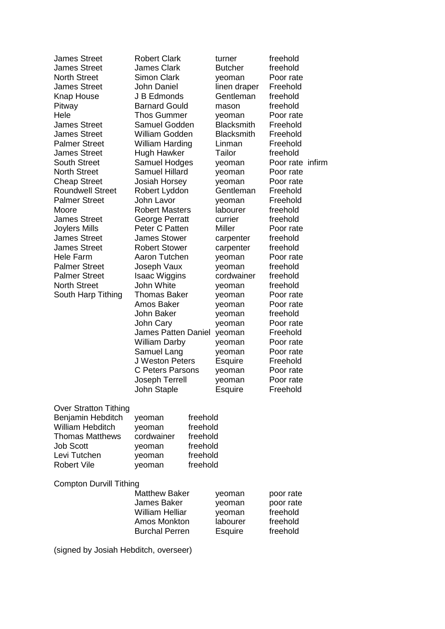James Street **Robert Clark** turner freehold James Street James Clark Butcher freehold North Street Simon Clark veoman Poor rate James Street John Daniel linen draper Freehold Knap House J B Edmonds Gentleman freehold Pitway **Barnard Gould** mason freehold Hele Thos Gummer yeoman Poor rate James Street Samuel Godden Blacksmith Freehold James Street William Godden Blacksmith Freehold Palmer Street William Harding Linman Freehold James Street Hugh Hawker Tailor freehold South Street Samuel Hodges yeoman Poor rate infirm North Street Samuel Hillard yeoman Poor rate Cheap Street Josiah Horsey yeoman Poor rate Roundwell Street Robert Lyddon Gentleman Freehold Palmer Street John Lavor veoman Freehold Moore Robert Masters labourer freehold James Street George Perratt currier freehold Joylers Mills Peter C Patten Miller Poor rate James Street James Stower carpenter freehold James Street Robert Stower carpenter freehold Hele Farm Aaron Tutchen yeoman Poor rate Palmer Street Joseph Vaux veoman freehold Palmer Street Isaac Wiggins cordwainer freehold North Street John White yeoman freehold<br>
South Harp Tithing Thomas Baker yeoman Poor rate South Harp Tithing Thomas Baker yeoman Over Stratton Tithing Benjamin Hebditch yeoman freehold

 Amos Baker yeoman Poor rate John Baker yeoman freehold John Cary yeoman Poor rate James Patten Daniel yeoman Freehold William Darby yeoman Poor rate Samuel Lang yeoman Poor rate J Weston Peters Esquire Freehold C Peters Parsons yeoman Poor rate Joseph Terrell yeoman Poor rate John Staple Esquire Freehold

| Benjamin Hebditch      | yeoman     | <u>rreenoid</u> |
|------------------------|------------|-----------------|
| William Hebditch       | yeoman     | freehold        |
| <b>Thomas Matthews</b> | cordwainer | freehold        |
| <b>Job Scott</b>       | veoman     | freehold        |
| Levi Tutchen           | yeoman     | freehold        |
| <b>Robert Vile</b>     | yeoman     | freehold        |

#### Compton Durvill Tithing

| <b>Matthew Baker</b>   | yeoman   | poor rate |
|------------------------|----------|-----------|
| James Baker            | yeoman   | poor rate |
| <b>William Helliar</b> | veoman   | freehold  |
| Amos Monkton           | labourer | freehold  |
| <b>Burchal Perren</b>  | Esquire  | freehold  |

(signed by Josiah Hebditch, overseer)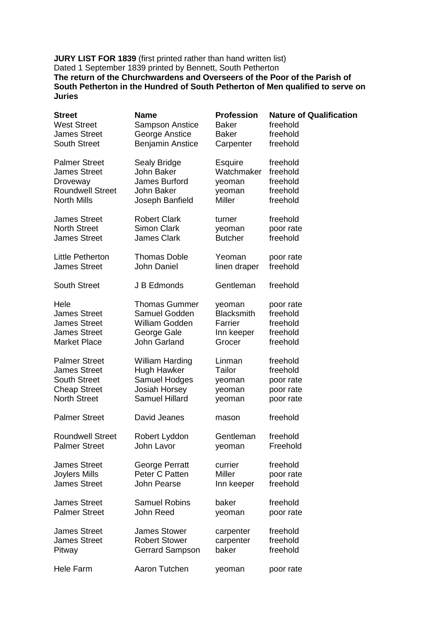### **JURY LIST FOR 1839** (first printed rather than hand written list)

Dated 1 September 1839 printed by Bennett, South Petherton

| <b>Street</b>           | <b>Name</b>             | <b>Profession</b> | <b>Nature of Qualification</b> |
|-------------------------|-------------------------|-------------------|--------------------------------|
| <b>West Street</b>      | <b>Sampson Anstice</b>  | <b>Baker</b>      | freehold                       |
| <b>James Street</b>     | George Anstice          | <b>Baker</b>      | freehold                       |
| <b>South Street</b>     | <b>Benjamin Anstice</b> | Carpenter         | freehold                       |
|                         |                         |                   |                                |
| <b>Palmer Street</b>    | Sealy Bridge            | <b>Esquire</b>    | freehold                       |
| <b>James Street</b>     | John Baker              | Watchmaker        | freehold                       |
| Droveway                | James Burford           | yeoman            | freehold                       |
| <b>Roundwell Street</b> | John Baker              | yeoman            | freehold                       |
| <b>North Mills</b>      | Joseph Banfield         | Miller            | freehold                       |
|                         |                         |                   |                                |
| <b>James Street</b>     | <b>Robert Clark</b>     | turner            | freehold                       |
| <b>North Street</b>     | <b>Simon Clark</b>      | yeoman            | poor rate                      |
| <b>James Street</b>     | <b>James Clark</b>      | <b>Butcher</b>    | freehold                       |
|                         |                         |                   |                                |
| Little Petherton        | <b>Thomas Doble</b>     | Yeoman            | poor rate                      |
| <b>James Street</b>     | John Daniel             | linen draper      | freehold                       |
|                         |                         |                   |                                |
| <b>South Street</b>     | J B Edmonds             | Gentleman         | freehold                       |
|                         |                         |                   |                                |
| Hele                    | <b>Thomas Gummer</b>    | yeoman            | poor rate                      |
| <b>James Street</b>     | Samuel Godden           | <b>Blacksmith</b> | freehold                       |
| <b>James Street</b>     | <b>William Godden</b>   | Farrier           | freehold                       |
| <b>James Street</b>     | George Gale             | Inn keeper        | freehold                       |
| <b>Market Place</b>     | John Garland            | Grocer            | freehold                       |
|                         |                         |                   |                                |
| <b>Palmer Street</b>    | <b>William Harding</b>  | Linman            | freehold                       |
| <b>James Street</b>     | <b>Hugh Hawker</b>      | Tailor            | freehold                       |
| <b>South Street</b>     | Samuel Hodges           | yeoman            | poor rate                      |
| <b>Cheap Street</b>     | <b>Josiah Horsey</b>    | yeoman            | poor rate                      |
| <b>North Street</b>     | <b>Samuel Hillard</b>   | yeoman            | poor rate                      |
|                         |                         |                   |                                |
| <b>Palmer Street</b>    | David Jeanes            | mason             | freehold                       |
| <b>Roundwell Street</b> | Robert Lyddon           | Gentleman         | freehold                       |
| <b>Palmer Street</b>    | John Lavor              | yeoman            | Freehold                       |
|                         |                         |                   |                                |
| <b>James Street</b>     | George Perratt          | currier           | freehold                       |
| Joylers Mills           | Peter C Patten          | <b>Miller</b>     | poor rate                      |
| <b>James Street</b>     | <b>John Pearse</b>      | Inn keeper        | freehold                       |
|                         |                         |                   |                                |
| <b>James Street</b>     | <b>Samuel Robins</b>    | baker             | freehold                       |
| <b>Palmer Street</b>    | John Reed               | yeoman            | poor rate                      |
|                         |                         |                   |                                |
| <b>James Street</b>     | <b>James Stower</b>     | carpenter         | freehold                       |
| <b>James Street</b>     | <b>Robert Stower</b>    | carpenter         | freehold                       |
| Pitway                  | <b>Gerrard Sampson</b>  | baker             | freehold                       |
|                         |                         |                   |                                |
| <b>Hele Farm</b>        | Aaron Tutchen           | yeoman            | poor rate                      |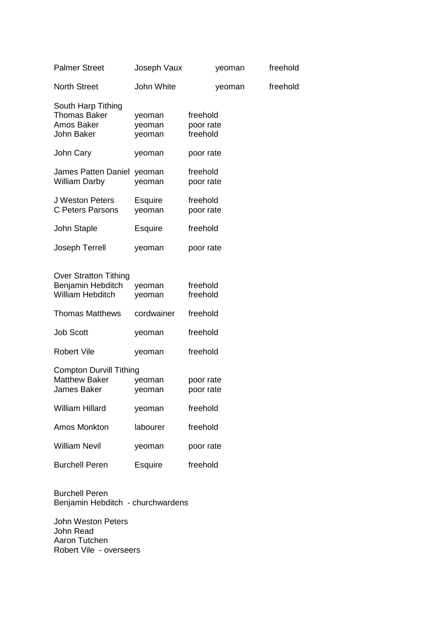| <b>Palmer Street</b>                                                         | Joseph Vaux                | yeoman                            | freehold |
|------------------------------------------------------------------------------|----------------------------|-----------------------------------|----------|
| <b>North Street</b>                                                          | John White                 | yeoman                            | freehold |
| South Harp Tithing<br><b>Thomas Baker</b><br>Amos Baker<br>John Baker        | yeoman<br>yeoman<br>yeoman | freehold<br>poor rate<br>freehold |          |
| John Cary                                                                    | yeoman                     | poor rate                         |          |
| <b>James Patten Daniel</b><br><b>William Darby</b>                           | yeoman<br>yeoman           | freehold<br>poor rate             |          |
| J Weston Peters<br>C Peters Parsons                                          | <b>Esquire</b><br>yeoman   | freehold<br>poor rate             |          |
| John Staple                                                                  | <b>Esquire</b>             | freehold                          |          |
| Joseph Terrell                                                               | yeoman                     | poor rate                         |          |
| <b>Over Stratton Tithing</b><br>Benjamin Hebditch<br><b>William Hebditch</b> | yeoman<br>yeoman           | freehold<br>freehold              |          |
| <b>Thomas Matthews</b>                                                       | cordwainer                 | freehold                          |          |
| <b>Job Scott</b>                                                             | yeoman                     | freehold                          |          |
| <b>Robert Vile</b>                                                           | yeoman                     | freehold                          |          |
| <b>Compton Durvill Tithing</b><br><b>Matthew Baker</b><br>James Baker        | yeoman<br>yeoman           | poor rate<br>poor rate            |          |
| <b>William Hillard</b>                                                       | yeoman                     | freehold                          |          |
| <b>Amos Monkton</b>                                                          | labourer                   | freehold                          |          |
| <b>William Nevil</b>                                                         | yeoman                     | poor rate                         |          |
| <b>Burchell Peren</b>                                                        | <b>Esquire</b>             | freehold                          |          |
|                                                                              |                            |                                   |          |

Burchell Peren Benjamin Hebditch - churchwardens

John Weston Peters John Read Aaron Tutchen Robert Vile - overseers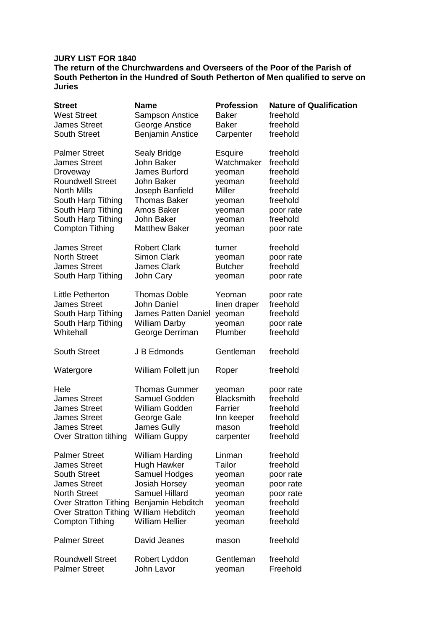## **JURY LIST FOR 1840**

| <b>Street</b>                                   | <b>Name</b>                 | <b>Profession</b>   | <b>Nature of Qualification</b> |
|-------------------------------------------------|-----------------------------|---------------------|--------------------------------|
| <b>West Street</b>                              | Sampson Anstice             | <b>Baker</b>        | freehold                       |
| <b>James Street</b>                             | George Anstice              | <b>Baker</b>        | freehold                       |
| <b>South Street</b>                             | <b>Benjamin Anstice</b>     | Carpenter           | freehold                       |
| <b>Palmer Street</b>                            | Sealy Bridge                | Esquire             | freehold                       |
| <b>James Street</b>                             | John Baker                  | Watchmaker          | freehold                       |
| Droveway                                        | James Burford               | yeoman              | freehold                       |
| <b>Roundwell Street</b>                         | John Baker                  | yeoman              | freehold                       |
| <b>North Mills</b>                              | Joseph Banfield             | Miller              | freehold                       |
| South Harp Tithing                              | <b>Thomas Baker</b>         | yeoman              | freehold                       |
| South Harp Tithing                              | Amos Baker                  | yeoman              | poor rate                      |
| South Harp Tithing                              | John Baker                  | yeoman              | freehold                       |
| <b>Compton Tithing</b>                          | <b>Matthew Baker</b>        | yeoman              | poor rate                      |
| <b>James Street</b>                             | <b>Robert Clark</b>         | turner              | freehold                       |
| <b>North Street</b>                             | <b>Simon Clark</b>          | yeoman              | poor rate                      |
| <b>James Street</b>                             | <b>James Clark</b>          | <b>Butcher</b>      | freehold                       |
| South Harp Tithing                              | John Cary                   | yeoman              | poor rate                      |
| <b>Little Petherton</b>                         | <b>Thomas Doble</b>         | Yeoman              | poor rate                      |
| <b>James Street</b>                             | John Daniel                 | linen draper        | freehold                       |
| South Harp Tithing                              | James Patten Daniel         | yeoman              | freehold                       |
| South Harp Tithing                              | <b>William Darby</b>        | yeoman              | poor rate                      |
| Whitehall                                       | George Derriman             | Plumber             | freehold                       |
| <b>South Street</b>                             | J B Edmonds                 | Gentleman           | freehold                       |
| Watergore                                       | William Follett jun         | Roper               | freehold                       |
| Hele                                            | <b>Thomas Gummer</b>        | yeoman              | poor rate                      |
| <b>James Street</b>                             | Samuel Godden               | <b>Blacksmith</b>   | freehold                       |
| <b>James Street</b>                             | William Godden              | Farrier             | freehold                       |
| <b>James Street</b>                             | George Gale                 | Inn keeper          | freehold                       |
| <b>James Street</b>                             | James Gully                 | mason               | freehold                       |
| Over Stratton tithing William Guppy             |                             | carpenter           | freehold                       |
| <b>Palmer Street</b>                            | <b>William Harding</b>      | Linman              | freehold                       |
| <b>James Street</b>                             | Hugh Hawker                 | Tailor              | freehold                       |
| <b>South Street</b>                             | Samuel Hodges               | yeoman              | poor rate                      |
| <b>James Street</b>                             | <b>Josiah Horsey</b>        | yeoman              | poor rate                      |
| <b>North Street</b>                             | <b>Samuel Hillard</b>       | yeoman              | poor rate                      |
| <b>Over Stratton Tithing</b>                    | Benjamin Hebditch           | yeoman              | freehold                       |
| <b>Over Stratton Tithing</b>                    | William Hebditch            | yeoman              | freehold                       |
| <b>Compton Tithing</b>                          | <b>William Hellier</b>      | yeoman              | freehold                       |
| <b>Palmer Street</b>                            | David Jeanes                | mason               | freehold                       |
| <b>Roundwell Street</b><br><b>Palmer Street</b> | Robert Lyddon<br>John Lavor | Gentleman<br>yeoman | freehold<br>Freehold           |
|                                                 |                             |                     |                                |